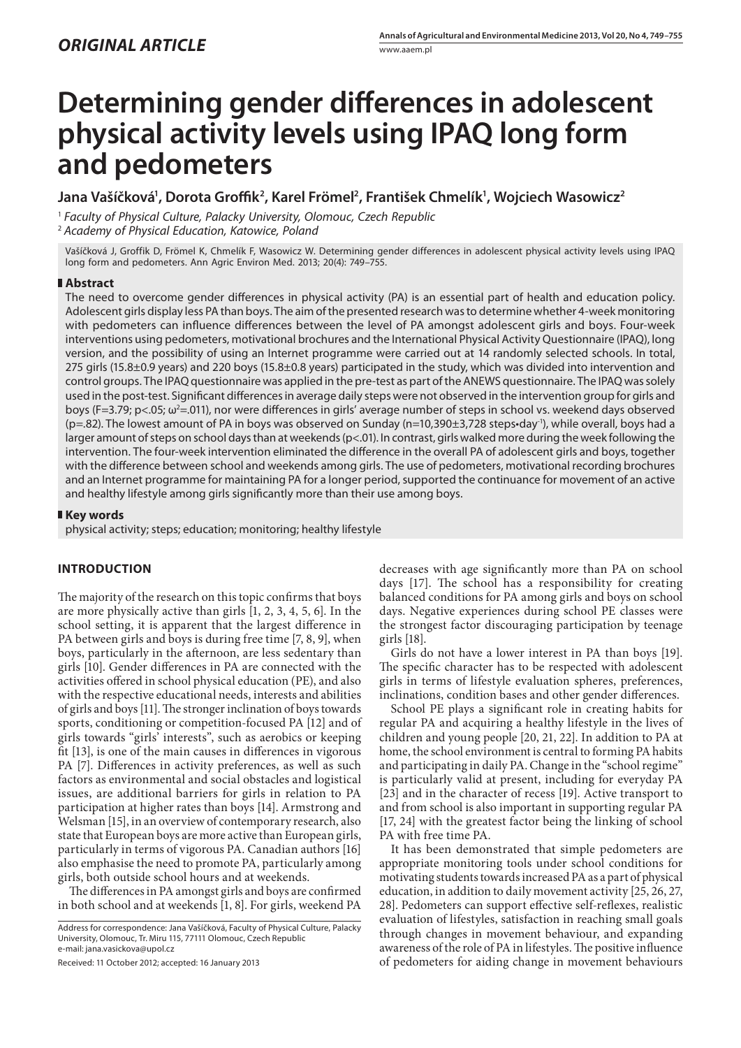# **Determining gender differences in adolescent physical activity levels using IPAQ long form and pedometers**

Jana Vašíčková<sup>1</sup>, Dorota Groffik<sup>2</sup>, Karel Frömel<sup>2</sup>, František Chmelík<sup>1</sup>, Wojciech Wasowicz<sup>2</sup>

<sup>1</sup> *Faculty of Physical Culture, Palacky University, Olomouc, Czech Republic* <sup>2</sup> *Academy of Physical Education, Katowice, Poland*

Vašíčková J, Groffik D, Frömel K, Chmelík F, Wasowicz W. Determining gender differences in adolescent physical activity levels using IPAQ long form and pedometers. Ann Agric Environ Med. 2013; 20(4): 749–755.

# **Abstract**

The need to overcome gender differences in physical activity (PA) is an essential part of health and education policy. Adolescent girls display less PA than boys. The aim of the presented research was to determine whether 4-week monitoring with pedometers can influence differences between the level of PA amongst adolescent girls and boys. Four-week interventions using pedometers, motivational brochures and the International Physical Activity Questionnaire (IPAQ), long version, and the possibility of using an Internet programme were carried out at 14 randomly selected schools. In total, 275 girls (15.8±0.9 years) and 220 boys (15.8±0.8 years) participated in the study, which was divided into intervention and control groups. The IPAQ questionnaire was applied in the pre-test as part of the ANEWS questionnaire. The IPAQ was solely used in the post-test. Significant differences in average daily steps were not observed in the intervention group for girls and boys (F=3.79; p<.05;  $\omega^2$ =.011), nor were differences in girls' average number of steps in school vs. weekend days observed (p=.82). The lowest amount of PA in boys was observed on Sunday (n=10,390±3,728 steps•day-1), while overall, boys had a larger amount of steps on school days than at weekends (p<.01). In contrast, girls walked more during the week following the intervention. The four-week intervention eliminated the difference in the overall PA of adolescent girls and boys, together with the difference between school and weekends among girls. The use of pedometers, motivational recording brochures and an Internet programme for maintaining PA for a longer period, supported the continuance for movement of an active and healthy lifestyle among girls significantly more than their use among boys.

# **Key words**

physical activity; steps; education; monitoring; healthy lifestyle

# **INTRODUCTION**

The majority of the research on this topic confirms that boys are more physically active than girls [1, 2, 3, 4, 5, 6]. In the school setting, it is apparent that the largest difference in PA between girls and boys is during free time [7, 8, 9], when boys, particularly in the afternoon, are less sedentary than girls [10]. Gender differences in PA are connected with the activities offered in school physical education (PE), and also with the respective educational needs, interests and abilities of girls and boys [11]. The stronger inclination of boys towards sports, conditioning or competition-focused PA [12] and of girls towards "girls' interests", such as aerobics or keeping fit [13], is one of the main causes in differences in vigorous PA [7]. Differences in activity preferences, as well as such factors as environmental and social obstacles and logistical issues, are additional barriers for girls in relation to PA participation at higher rates than boys [14]. Armstrong and Welsman [15], in an overview of contemporary research, also state that European boys are more active than European girls, particularly in terms of vigorous PA. Canadian authors [16] also emphasise the need to promote PA, particularly among girls, both outside school hours and at weekends.

The differences in PA amongst girls and boys are confirmed in both school and at weekends [1, 8]. For girls, weekend PA

Received: 11 October 2012; accepted: 16 January 2013

decreases with age significantly more than PA on school days [17]. The school has a responsibility for creating balanced conditions for PA among girls and boys on school days. Negative experiences during school PE classes were the strongest factor discouraging participation by teenage girls [18].

Girls do not have a lower interest in PA than boys [19]. The specific character has to be respected with adolescent girls in terms of lifestyle evaluation spheres, preferences, inclinations, condition bases and other gender differences.

School PE plays a significant role in creating habits for regular PA and acquiring a healthy lifestyle in the lives of children and young people [20, 21, 22]. In addition to PA at home, the school environment is central to forming PA habits and participating in daily PA. Change in the "school regime" is particularly valid at present, including for everyday PA [23] and in the character of recess [19]. Active transport to and from school is also important in supporting regular PA [17, 24] with the greatest factor being the linking of school PA with free time PA.

It has been demonstrated that simple pedometers are appropriate monitoring tools under school conditions for motivating students towards increased PA as a part of physical education, in addition to daily movement activity [25, 26, 27, 28]. Pedometers can support effective self-reflexes, realistic evaluation of lifestyles, satisfaction in reaching small goals through changes in movement behaviour, and expanding awareness of the role of PA in lifestyles. The positive influence of pedometers for aiding change in movement behaviours

Address for correspondence: Jana Vašíčková, Faculty of Physical Culture, Palacky University, Olomouc, Tr. Miru 115, 77111 Olomouc, Czech Republic e-mail: jana.vasickova@upol.cz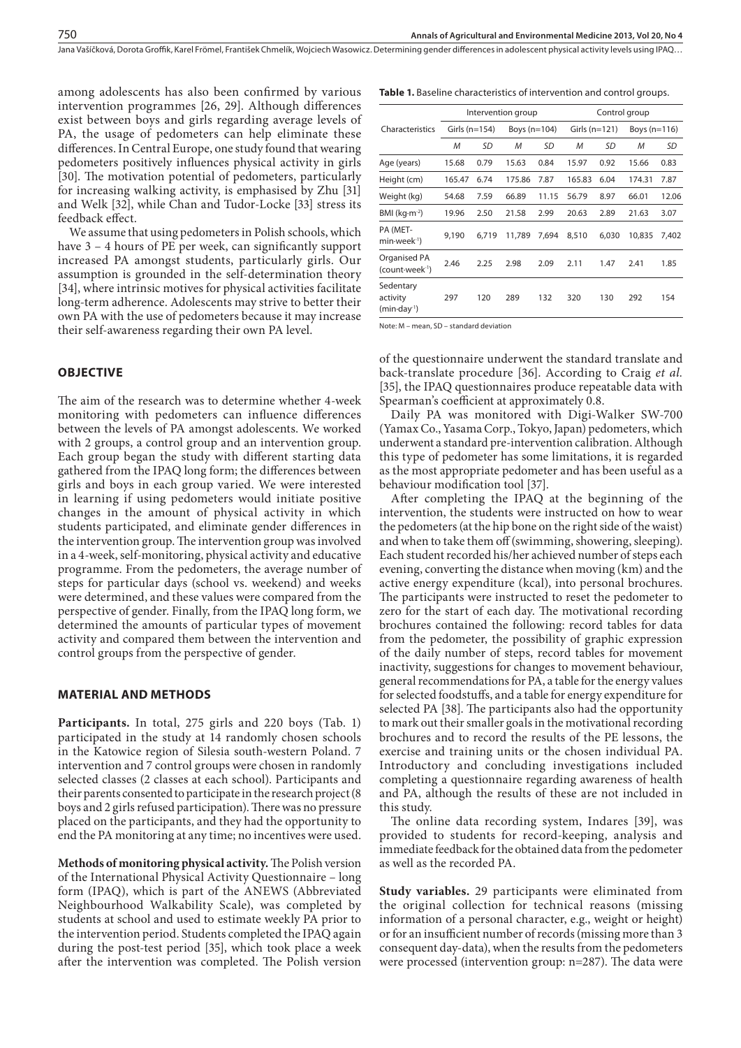Jana Vašíčková, Dorota Groffik, Karel Frömel, František Chmelík, Wojciech Wasowicz . Determining gender differences in adolescent physical activity levels using IPAQ…

among adolescents has also been confirmed by various intervention programmes [26, 29]. Although differences exist between boys and girls regarding average levels of PA, the usage of pedometers can help eliminate these differences. In Central Europe, one study found that wearing pedometers positively influences physical activity in girls [30]. The motivation potential of pedometers, particularly for increasing walking activity, is emphasised by Zhu [31] and Welk [32], while Chan and Tudor-Locke [33] stress its feedback effect.

We assume that using pedometers in Polish schools, which have 3 – 4 hours of PE per week, can significantly support increased PA amongst students, particularly girls. Our assumption is grounded in the self-determination theory [34], where intrinsic motives for physical activities facilitate long-term adherence. Adolescents may strive to better their own PA with the use of pedometers because it may increase their self-awareness regarding their own PA level.

# **OBJECTIVE**

The aim of the research was to determine whether 4-week monitoring with pedometers can influence differences between the levels of PA amongst adolescents. We worked with 2 groups, a control group and an intervention group. Each group began the study with different starting data gathered from the IPAQ long form; the differences between girls and boys in each group varied. We were interested in learning if using pedometers would initiate positive changes in the amount of physical activity in which students participated, and eliminate gender differences in the intervention group. The intervention group was involved in a 4-week, self-monitoring, physical activity and educative programme. From the pedometers, the average number of steps for particular days (school vs. weekend) and weeks were determined, and these values were compared from the perspective of gender. Finally, from the IPAQ long form, we determined the amounts of particular types of movement activity and compared them between the intervention and control groups from the perspective of gender.

## **MATERIAL AND METHODS**

**Participants.** In total, 275 girls and 220 boys (Tab. 1) participated in the study at 14 randomly chosen schools in the Katowice region of Silesia south-western Poland. 7 intervention and 7 control groups were chosen in randomly selected classes (2 classes at each school). Participants and their parents consented to participate in the research project (8 boys and 2 girls refused participation). There was no pressure placed on the participants, and they had the opportunity to end the PA monitoring at any time; no incentives were used.

**Methods of monitoring physical activity.** The Polish version of the International Physical Activity Questionnaire – long form (IPAQ), which is part of the ANEWS (Abbreviated Neighbourhood Walkability Scale), was completed by students at school and used to estimate weekly PA prior to the intervention period. Students completed the IPAQ again during the post-test period [35], which took place a week after the intervention was completed. The Polish version

|  |  |  |  |  |  |  |  |  | <b>Table 1.</b> Baseline characteristics of intervention and control groups. |  |  |  |  |
|--|--|--|--|--|--|--|--|--|------------------------------------------------------------------------------|--|--|--|--|
|--|--|--|--|--|--|--|--|--|------------------------------------------------------------------------------|--|--|--|--|

|                                                    |                 |           | Intervention group |       | Control group   |       |                |       |  |
|----------------------------------------------------|-----------------|-----------|--------------------|-------|-----------------|-------|----------------|-------|--|
| Characteristics                                    | Girls $(n=154)$ |           | Boys $(n=104)$     |       | Girls $(n=121)$ |       | Boys $(n=116)$ |       |  |
|                                                    | M               | <b>SD</b> | M                  | SD    | M               | SD    | M              | SD    |  |
| Age (years)                                        | 15.68           | 0.79      | 15.63              | 0.84  | 15.97           | 0.92  | 15.66          | 0.83  |  |
| Height (cm)                                        | 165.47          | 6.74      | 175.86             | 7.87  | 165.83          | 6.04  | 174.31         | 7.87  |  |
| Weight (kg)                                        | 54.68           | 7.59      | 66.89              | 11.15 | 56.79           | 8.97  | 66.01          | 12.06 |  |
| BMI ( $kg·m-2$ )                                   | 19.96           | 2.50      | 21.58              | 2.99  | 20.63           | 2.89  | 21.63          | 3.07  |  |
| PA (MET-<br>$min$ week <sup><math>1</math></sup> ) | 9,190           | 6,719     | 11.789             | 7.694 | 8,510           | 6,030 | 10,835         | 7.402 |  |
| Organised PA<br>(count-week <sup>-1</sup> )        | 2.46            | 2.25      | 2.98               | 2.09  | 2.11            | 1.47  | 2.41           | 1.85  |  |
| Sedentary<br>activity<br>$(min\cdot day^{-1})$     | 297             | 120       | 289                | 132   | 320             | 130   | 292            | 154   |  |

Note: M – mean, SD – standard deviation

of the questionnaire underwent the standard translate and back-translate procedure [36]. According to Craig *et al.* [35], the IPAQ questionnaires produce repeatable data with Spearman's coefficient at approximately 0.8.

Daily PA was monitored with Digi-Walker SW-700 (Yamax Co., Yasama Corp., Tokyo, Japan) pedometers, which underwent a standard pre-intervention calibration. Although this type of pedometer has some limitations, it is regarded as the most appropriate pedometer and has been useful as a behaviour modification tool [37].

After completing the IPAQ at the beginning of the intervention, the students were instructed on how to wear the pedometers (at the hip bone on the right side of the waist) and when to take them off (swimming, showering, sleeping). Each student recorded his/her achieved number of steps each evening, converting the distance when moving (km) and the active energy expenditure (kcal), into personal brochures. The participants were instructed to reset the pedometer to zero for the start of each day. The motivational recording brochures contained the following: record tables for data from the pedometer, the possibility of graphic expression of the daily number of steps, record tables for movement inactivity, suggestions for changes to movement behaviour, general recommendations for PA, a table for the energy values for selected foodstuffs, and a table for energy expenditure for selected PA [38]. The participants also had the opportunity to mark out their smaller goals in the motivational recording brochures and to record the results of the PE lessons, the exercise and training units or the chosen individual PA. Introductory and concluding investigations included completing a questionnaire regarding awareness of health and PA, although the results of these are not included in this study.

The online data recording system, Indares [39], was provided to students for record-keeping, analysis and immediate feedback for the obtained data from the pedometer as well as the recorded PA.

**Study variables.** 29 participants were eliminated from the original collection for technical reasons (missing information of a personal character, e.g., weight or height) or for an insufficient number of records (missing more than 3 consequent day-data), when the results from the pedometers were processed (intervention group: n=287). The data were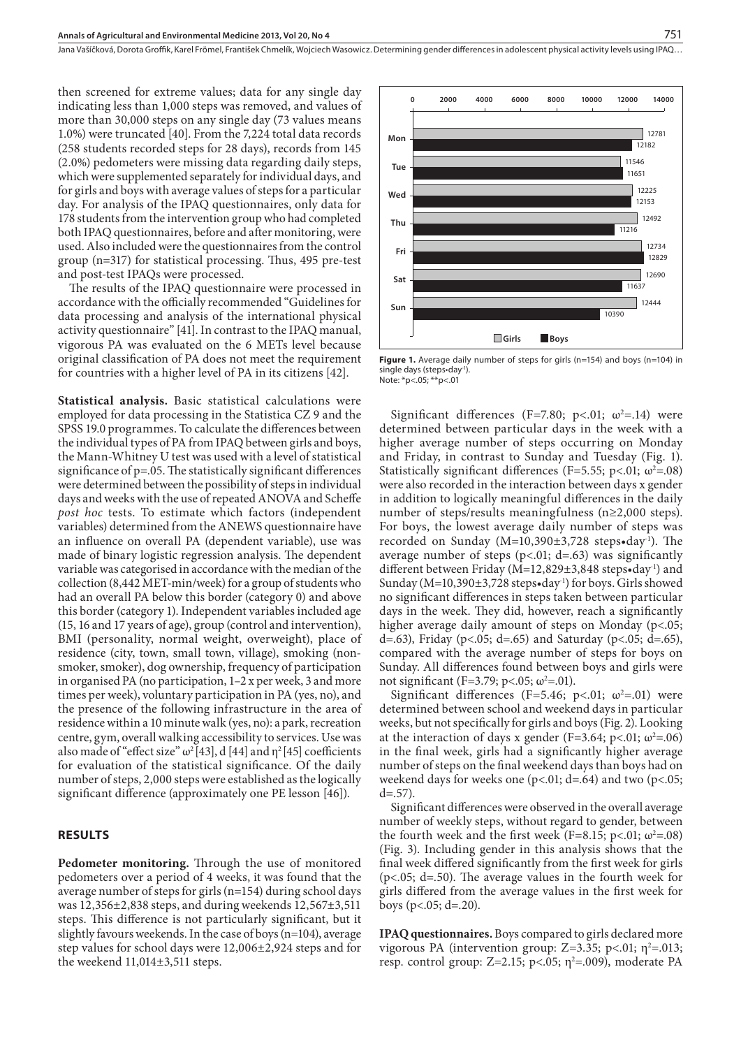Jana Vašíčková, Dorota Groffik, Karel Frömel, František Chmelík, Wojciech Wasowicz . Determining gender differences in adolescent physical activity levels using IPAQ…

then screened for extreme values; data for any single day indicating less than 1,000 steps was removed, and values of more than 30,000 steps on any single day (73 values means 1.0%) were truncated [40]. From the 7,224 total data records (258 students recorded steps for 28 days), records from 145 (2.0%) pedometers were missing data regarding daily steps, which were supplemented separately for individual days, and for girls and boys with average values of steps for a particular day. For analysis of the IPAQ questionnaires, only data for 178 students from the intervention group who had completed both IPAQ questionnaires, before and after monitoring, were used. Also included were the questionnaires from the control group (n=317) for statistical processing. Thus, 495 pre-test and post-test IPAQs were processed.

The results of the IPAQ questionnaire were processed in accordance with the officially recommended "Guidelines for data processing and analysis of the international physical activity questionnaire" [41]. In contrast to the IPAQ manual, vigorous PA was evaluated on the 6 METs level because original classification of PA does not meet the requirement for countries with a higher level of PA in its citizens [42].

**Statistical analysis.** Basic statistical calculations were employed for data processing in the Statistica CZ 9 and the SPSS 19.0 programmes. To calculate the differences between the individual types of PA from IPAQ between girls and boys, the Mann-Whitney U test was used with a level of statistical significance of p=.05. The statistically significant differences were determined between the possibility of steps in individual days and weeks with the use of repeated ANOVA and Scheffe *post hoc* tests. To estimate which factors (independent variables) determined from the ANEWS questionnaire have an influence on overall PA (dependent variable), use was made of binary logistic regression analysis. The dependent variable was categorised in accordance with the median of the collection (8,442 MET-min/week) for a group of students who had an overall PA below this border (category 0) and above this border (category 1). Independent variables included age (15, 16 and 17 years of age), group (control and intervention), BMI (personality, normal weight, overweight), place of residence (city, town, small town, village), smoking (nonsmoker, smoker), dog ownership, frequency of participation in organised PA (no participation, 1–2 x per week, 3 and more times per week), voluntary participation in PA (yes, no), and the presence of the following infrastructure in the area of residence within a 10 minute walk (yes, no): a park, recreation centre, gym, overall walking accessibility to services. Use was also made of "effect size"  $\omega^2$  [43], d [44] and  $\eta^2$  [45] coefficients for evaluation of the statistical significance. Of the daily number of steps, 2,000 steps were established as the logically significant difference (approximately one PE lesson [46]).

#### **RESULTS**

**Pedometer monitoring.** Through the use of monitored pedometers over a period of 4 weeks, it was found that the average number of steps for girls (n=154) during school days was 12,356±2,838 steps, and during weekends 12,567±3,511 steps. This difference is not particularly significant, but it slightly favours weekends. In the case of boys (n=104), average step values for school days were 12,006±2,924 steps and for the weekend 11,014±3,511 steps.



Figure 1. Average daily number of steps for girls (n=154) and boys (n=104) in single days (steps•day<sup>-1</sup>). Note: \*p<.05; \*\*p<.01

Significant differences (F=7.80; p<.01;  $\omega^2$ =.14) were determined between particular days in the week with a higher average number of steps occurring on Monday and Friday, in contrast to Sunday and Tuesday (Fig. 1). Statistically significant differences (F=5.55; p<.01;  $\omega^2$ =.08) were also recorded in the interaction between days x gender in addition to logically meaningful differences in the daily number of steps/results meaningfulness (n≥2,000 steps). For boys, the lowest average daily number of steps was recorded on Sunday  $(M=10,390\pm3,728$  steps•day<sup>1</sup>). The average number of steps ( $p$ <.01; d=.63) was significantly different between Friday ( $M=12,829\pm3,848$  steps•day<sup>-1</sup>) and Sunday ( $M=10,390\pm3,728$  steps•day<sup>-1</sup>) for boys. Girls showed no significant differences in steps taken between particular days in the week. They did, however, reach a significantly higher average daily amount of steps on Monday (p<.05; d=.63), Friday (p<.05; d=.65) and Saturday (p<.05; d=.65), compared with the average number of steps for boys on Sunday. All differences found between boys and girls were not significant (F=3.79; p<.05;  $\omega^2$ =.01).

Significant differences (F=5.46; p<.01;  $\omega^2$ =.01) were determined between school and weekend days in particular weeks, but not specifically for girls and boys (Fig. 2). Looking at the interaction of days x gender (F=3.64; p<.01;  $\omega^2$ =.06) in the final week, girls had a significantly higher average number of steps on the final weekend days than boys had on weekend days for weeks one ( $p<.01$ ; d=.64) and two ( $p<.05$ ;  $d = .57$ ).

Significant differences were observed in the overall average number of weekly steps, without regard to gender, between the fourth week and the first week (F=8.15; p<.01;  $\omega^2$ =.08) (Fig. 3). Including gender in this analysis shows that the final week differed significantly from the first week for girls (p<.05; d=.50). The average values in the fourth week for girls differed from the average values in the first week for boys ( $p<0.05$ ; d=.20).

**IPAQ questionnaires.** Boys compared to girls declared more vigorous PA (intervention group: Z=3.35; p<.01;  $\eta^2$ =.013; resp. control group: Z=2.15; p<.05;  $\eta^2$ =.009), moderate PA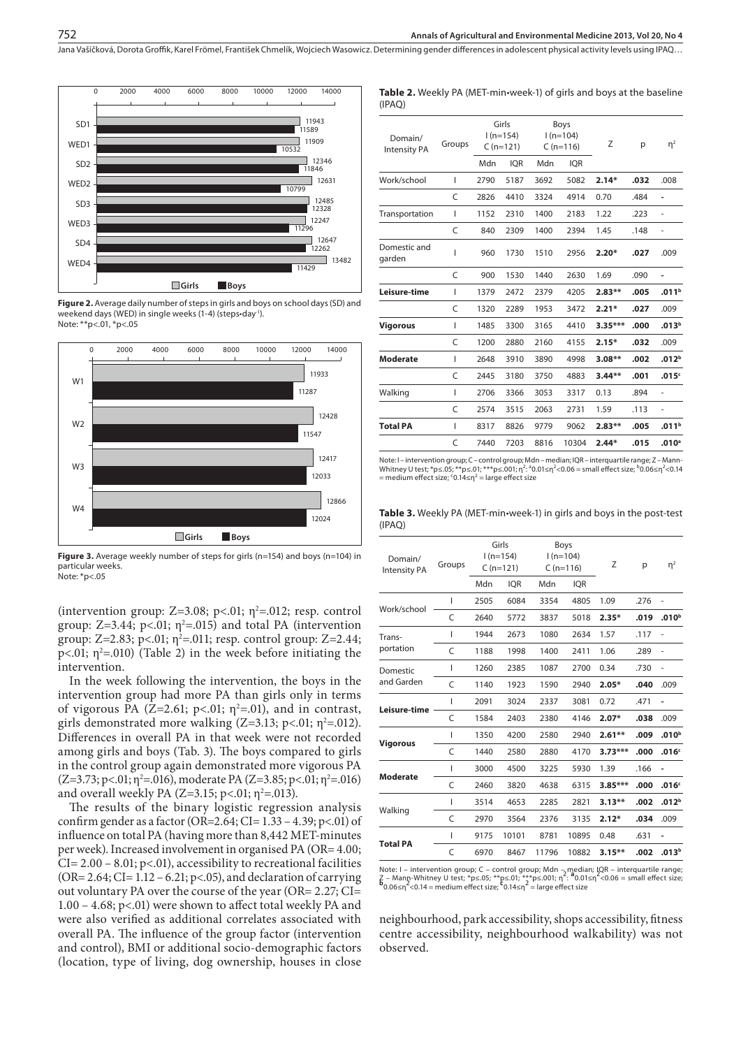**Table 2.** Weekly PA (MET-min•week-1) of girls and boys at the baseline

Jana Vašíčková, Dorota Groffik, Karel Frömel, František Chmelík, Wojciech Wasowicz . Determining gender differences in adolescent physical activity levels using IPAQ…

(IPAQ)



**Figure 2.** Average daily number of steps in girls and boys on school days (SD) and weekend days (WED) in single weeks (1-4) (steps•day-1). Note: \*\*p<.01, \*p<.05



**Figure 3.** Average weekly number of steps for girls (n=154) and boys (n=104) in particular weeks. Note: \*p<.05

(intervention group:  $Z=3.08$ ; p<.01;  $\eta^2=0.01$ ; resp. control group:  $Z=3.44$ ;  $p<.01$ ;  $\eta^2=0.015$ ) and total PA (intervention group: Z=2.83; p<.01;  $\eta^2$ =.011; resp. control group: Z=2.44; p<.01;  $η^2$ =.010) (Table 2) in the week before initiating the intervention.

In the week following the intervention, the boys in the intervention group had more PA than girls only in terms of vigorous PA (Z=2.61; p<.01;  $\eta^2$ =.01), and in contrast, girls demonstrated more walking (Z=3.13; p<.01;  $\eta^2$ =.012). Differences in overall PA in that week were not recorded among girls and boys (Tab. 3). The boys compared to girls in the control group again demonstrated more vigorous PA  $(Z=3.73; p<.01; \eta^2=0.016)$ , moderate PA (Z=3.85; p<.01;  $\eta^2=0.016$ ) and overall weekly PA (Z=3.15; p<.01;  $\eta^2$ =.013).

The results of the binary logistic regression analysis confirm gender as a factor (OR=2.64; CI=  $1.33 - 4.39$ ; p<.01) of influence on total PA (having more than 8,442 MET-minutes per week). Increased involvement in organised PA (OR= 4.00;  $CI = 2.00 - 8.01$ ; p<.01), accessibility to recreational facilities  $(OR= 2.64; CI= 1.12 - 6.21; p< .05)$ , and declaration of carrying out voluntary PA over the course of the year (OR= 2.27; CI= 1.00 – 4.68; p<.01) were shown to affect total weekly PA and were also verified as additional correlates associated with overall PA. The influence of the group factor (intervention and control), BMI or additional socio-demographic factors (location, type of living, dog ownership, houses in close

| Domain/<br><b>Intensity PA</b> | Groups | Girls<br>$1(n=154)$<br>$C(n=121)$ |            | Boys<br>$1(n=104)$<br>$C(n=116)$ |            | Z         | p    | $\eta^2$          |
|--------------------------------|--------|-----------------------------------|------------|----------------------------------|------------|-----------|------|-------------------|
|                                |        | Mdn                               | <b>IOR</b> | Mdn                              | <b>IOR</b> |           |      |                   |
| Work/school                    | L      | 2790                              | 5187       | 3692                             | 5082       | $2.14*$   | .032 | .008              |
|                                | C      | 2826                              | 4410       | 3324                             | 4914       | 0.70      | .484 | ÷,                |
| Transportation                 | T      | 1152                              | 2310       | 1400                             | 2183       | 1.22      | .223 | ÷,                |
|                                | C      | 840                               | 2309       | 1400                             | 2394       | 1.45      | .148 | ÷,                |
| Domestic and<br>garden         | I      | 960                               | 1730       | 1510                             | 2956       | $2.20*$   | .027 | .009              |
|                                | C      | 900                               | 1530       | 1440                             | 2630       | 1.69      | .090 |                   |
| Leisure-time                   | I      | 1379                              | 2472       | 2379                             | 4205       | $2.83**$  | .005 | .011 <sup>b</sup> |
|                                | C      | 1320                              | 2289       | 1953                             | 3472       | $2.21*$   | .027 | .009              |
| Vigorous                       | T      | 1485                              | 3300       | 3165                             | 4410       | $3.35***$ | .000 | .013 <sup>b</sup> |
|                                | C      | 1200                              | 2880       | 2160                             | 4155       | $2.15*$   | .032 | .009              |
| <b>Moderate</b>                | T      | 2648                              | 3910       | 3890                             | 4998       | $3.08**$  | .002 | .012 <sup>b</sup> |
|                                | C      | 2445                              | 3180       | 3750                             | 4883       | $3.44**$  | .001 | .015 <sup>c</sup> |
| Walking                        | ı      | 2706                              | 3366       | 3053                             | 3317       | 0.13      | .894 | ÷,                |
|                                | C      | 2574                              | 3515       | 2063                             | 2731       | 1.59      | .113 | ÷,                |
| <b>Total PA</b>                | T      | 8317                              | 8826       | 9779                             | 9062       | $2.83**$  | .005 | .011 <sup>b</sup> |
|                                | C      | 7440                              | 7203       | 8816                             | 10304      | $2.44*$   | .015 | .010 <sup>a</sup> |
|                                |        |                                   |            |                                  |            |           |      |                   |

Note: I – intervention group; C – control group; Mdn – median; IQR – interquartile range; Z – Mann-Whitney U test; \*p≤.05; \*\*p≤.01; \*\*\*p≤.001;  $\eta^2$ : <sup>a</sup>0.01≤ $\eta^2$ <0.06 = small effect size; <sup>b</sup>0.06≤ $\eta^2$ <0.14 = medium effect size; <sup>c</sup>0.14≤η<sup>2</sup> = large effect size

**Table 3.** Weekly PA (MET-min•week-1) in girls and boys in the post-test (IPAQ)

| Domain/<br><b>Intensity PA</b> | Groups | Girls<br>$1(n=154)$<br>$C(n=121)$ |            |       | <b>Boys</b><br>$1(n=104)$<br>$C(n=116)$ | Ζ         | p    | $\eta^2$                     |
|--------------------------------|--------|-----------------------------------|------------|-------|-----------------------------------------|-----------|------|------------------------------|
|                                |        | Mdn                               | <b>IQR</b> | Mdn   | <b>IQR</b>                              |           |      |                              |
|                                | L      | 2505                              | 6084       | 3354  | 4805                                    | 1.09      | .276 |                              |
| Work/school                    | C      | 2640                              | 5772       | 3837  | 5018                                    | $2.35*$   | .019 | .010 <sup>b</sup>            |
| Trans-                         | I      | 1944                              | 2673       | 1080  | 2634                                    | 1.57      | .117 |                              |
| portation                      | C      | 1188                              | 1998       | 1400  | 2411                                    | 1.06      | .289 | $\bar{ }$                    |
| Domestic                       | L      | 1260                              | 2385       | 1087  | 2700                                    | 0.34      | .730 | $\qquad \qquad \blacksquare$ |
| and Garden                     | C      | 1140                              | 1923       | 1590  | 2940                                    | $2.05*$   | .040 | .009                         |
| Leisure-time                   | L      | 2091                              | 3024       | 2337  | 3081                                    | 0.72      | .471 |                              |
|                                | C      | 1584                              | 2403       | 2380  | 4146                                    | $2.07*$   | .038 | .009                         |
|                                | L      | 1350                              | 4200       | 2580  | 2940                                    | $2.61**$  | .009 | .010 <sup>b</sup>            |
| <b>Vigorous</b>                | C      | 1440                              | 2580       | 2880  | 4170                                    | $3.73***$ | .000 | .016 <sup>c</sup>            |
| <b>Moderate</b>                | I      | 3000                              | 4500       | 3225  | 5930                                    | 1.39      | .166 |                              |
|                                | C      | 2460                              | 3820       | 4638  | 6315                                    | $3.85***$ | .000 | .016 <sup>c</sup>            |
|                                | L      | 3514                              | 4653       | 2285  | 2821                                    | $3.13**$  | .002 | .012 <sup>b</sup>            |
| Walking                        | C      | 2970                              | 3564       | 2376  | 3135                                    | $2.12*$   | .034 | .009                         |
| <b>Total PA</b>                | L      | 9175                              | 10101      | 8781  | 10895                                   | 0.48      | .631 |                              |
|                                | C      | 6970                              | 8467       | 11796 | 10882                                   | $3.15***$ | .002 | .013 <sup>b</sup>            |
|                                |        |                                   |            |       |                                         |           |      |                              |

Note: 1 – intervention group; C – control group; Mdn – median; IQR – interquartile range;<br>Z – Mann-Whitney U test; \*p≤.05; \*\*p≤.01; \*\*p≤.001; n^: <sup>a</sup>0.01≤n^<0.06 = small effect size;<br>●0.06≤n^<0.14 = medium effect size; •0.

neighbourhood, park accessibility, shops accessibility, fitness centre accessibility, neighbourhood walkability) was not observed.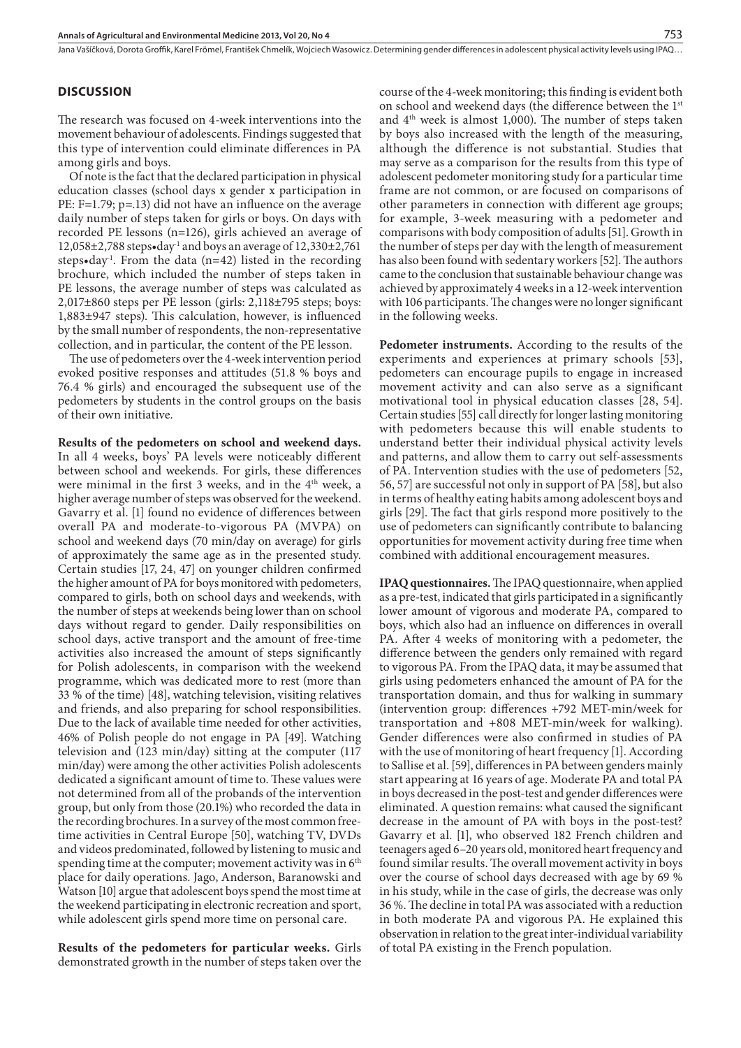# **DISCUSSION**

The research was focused on 4-week interventions into the movement behaviour of adolescents. Findings suggested that this type of intervention could eliminate differences in PA among girls and boys.

Of note is the fact that the declared participation in physical education classes (school days x gender x participation in PE: F=1.79; p=.13) did not have an influence on the average daily number of steps taken for girls or boys. On days with recorded PE lessons (n=126), girls achieved an average of 12,058 $\pm$ 2,788 steps•day<sup>-1</sup> and boys an average of 12,330 $\pm$ 2,761 steps•day<sup>-1</sup>. From the data (n=42) listed in the recording brochure, which included the number of steps taken in PE lessons, the average number of steps was calculated as 2,017±860 steps per PE lesson (girls: 2,118±795 steps; boys: 1,883±947 steps). This calculation, however, is influenced by the small number of respondents, the non-representative collection, and in particular, the content of the PE lesson.

The use of pedometers over the 4-week intervention period evoked positive responses and attitudes (51.8 % boys and 76.4 % girls) and encouraged the subsequent use of the pedometers by students in the control groups on the basis of their own initiative.

**Results of the pedometers on school and weekend days.**  In all 4 weeks, boys' PA levels were noticeably different between school and weekends. For girls, these differences were minimal in the first 3 weeks, and in the 4<sup>th</sup> week, a higher average number of steps was observed for the weekend. Gavarry et al. [1] found no evidence of differences between overall PA and moderate-to-vigorous PA (MVPA) on school and weekend days (70 min/day on average) for girls of approximately the same age as in the presented study. Certain studies [17, 24, 47] on younger children confirmed the higher amount of PA for boys monitored with pedometers, compared to girls, both on school days and weekends, with the number of steps at weekends being lower than on school days without regard to gender. Daily responsibilities on school days, active transport and the amount of free-time activities also increased the amount of steps significantly for Polish adolescents, in comparison with the weekend programme, which was dedicated more to rest (more than 33 % of the time) [48], watching television, visiting relatives and friends, and also preparing for school responsibilities. Due to the lack of available time needed for other activities, 46% of Polish people do not engage in PA [49]. Watching television and (123 min/day) sitting at the computer (117 min/day) were among the other activities Polish adolescents dedicated a significant amount of time to. These values were not determined from all of the probands of the intervention group, but only from those (20.1%) who recorded the data in the recording brochures. In a survey of the most common freetime activities in Central Europe [50], watching TV, DVDs and videos predominated, followed by listening to music and spending time at the computer; movement activity was in 6<sup>th</sup> place for daily operations. Jago, Anderson, Baranowski and Watson [10] argue that adolescent boys spend the most time at the weekend participating in electronic recreation and sport, while adolescent girls spend more time on personal care.

**Results of the pedometers for particular weeks.** Girls demonstrated growth in the number of steps taken over the

course of the 4-week monitoring; this finding is evident both on school and weekend days (the difference between the 1st and 4th week is almost 1,000). The number of steps taken by boys also increased with the length of the measuring, although the difference is not substantial. Studies that may serve as a comparison for the results from this type of adolescent pedometer monitoring study for a particular time frame are not common, or are focused on comparisons of other parameters in connection with different age groups; for example, 3-week measuring with a pedometer and comparisons with body composition of adults [51]. Growth in the number of steps per day with the length of measurement has also been found with sedentary workers [52]. The authors came to the conclusion that sustainable behaviour change was achieved by approximately 4 weeks in a 12-week intervention with 106 participants. The changes were no longer significant in the following weeks.

**Pedometer instruments.** According to the results of the experiments and experiences at primary schools [53], pedometers can encourage pupils to engage in increased movement activity and can also serve as a significant motivational tool in physical education classes [28, 54]. Certain studies [55] call directly for longer lasting monitoring with pedometers because this will enable students to understand better their individual physical activity levels and patterns, and allow them to carry out self-assessments of PA. Intervention studies with the use of pedometers [52, 56, 57] are successful not only in support of PA [58], but also in terms of healthy eating habits among adolescent boys and girls [29]. The fact that girls respond more positively to the use of pedometers can significantly contribute to balancing opportunities for movement activity during free time when combined with additional encouragement measures.

**IPAQ questionnaires.** The IPAQ questionnaire, when applied as a pre-test, indicated that girls participated in a significantly lower amount of vigorous and moderate PA, compared to boys, which also had an influence on differences in overall PA. After 4 weeks of monitoring with a pedometer, the difference between the genders only remained with regard to vigorous PA. From the IPAQ data, it may be assumed that girls using pedometers enhanced the amount of PA for the transportation domain, and thus for walking in summary (intervention group: differences +792 MET-min/week for transportation and +808 MET-min/week for walking). Gender differences were also confirmed in studies of PA with the use of monitoring of heart frequency [1]. According to Sallise et al. [59], differences in PA between genders mainly start appearing at 16 years of age. Moderate PA and total PA in boys decreased in the post-test and gender differences were eliminated. A question remains: what caused the significant decrease in the amount of PA with boys in the post-test? Gavarry et al. [1], who observed 182 French children and teenagers aged 6–20 years old, monitored heart frequency and found similar results. The overall movement activity in boys over the course of school days decreased with age by 69 % in his study, while in the case of girls, the decrease was only 36 %. The decline in total PA was associated with a reduction in both moderate PA and vigorous PA. He explained this observation in relation to the great inter-individual variability of total PA existing in the French population.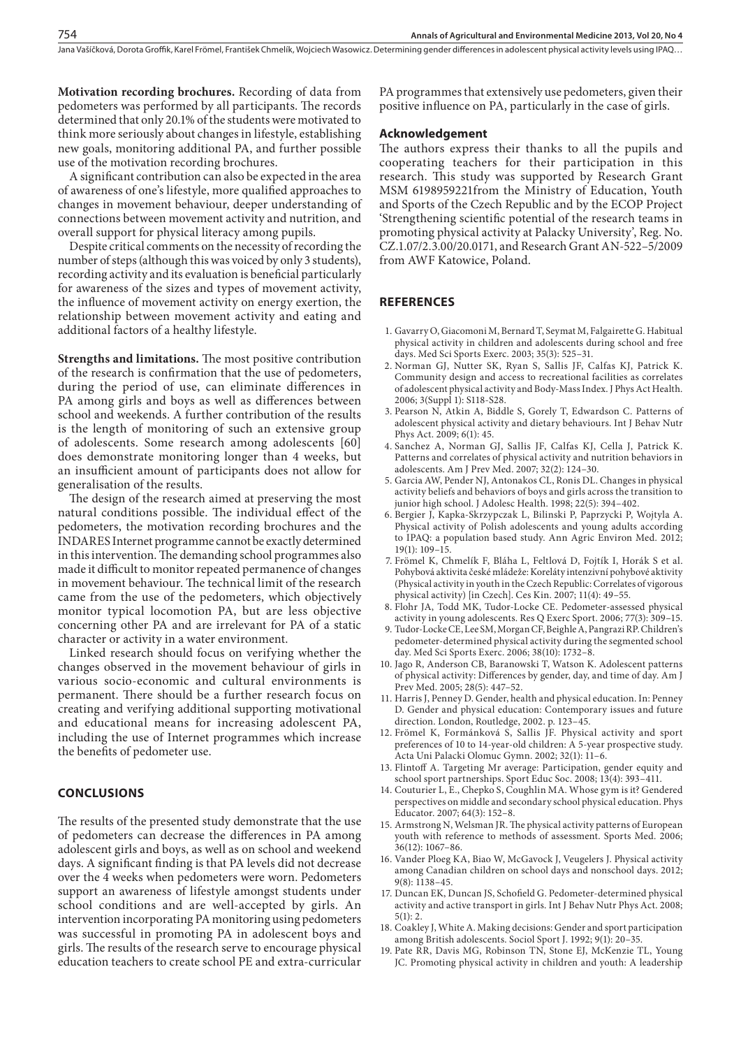**Motivation recording brochures.** Recording of data from pedometers was performed by all participants. The records determined that only 20.1% of the students were motivated to think more seriously about changes in lifestyle, establishing new goals, monitoring additional PA, and further possible use of the motivation recording brochures.

754

A significant contribution can also be expected in the area of awareness of one's lifestyle, more qualified approaches to changes in movement behaviour, deeper understanding of connections between movement activity and nutrition, and overall support for physical literacy among pupils.

Despite critical comments on the necessity of recording the number of steps (although this was voiced by only 3 students), recording activity and its evaluation is beneficial particularly for awareness of the sizes and types of movement activity, the influence of movement activity on energy exertion, the relationship between movement activity and eating and additional factors of a healthy lifestyle.

**Strengths and limitations.** The most positive contribution of the research is confirmation that the use of pedometers, during the period of use, can eliminate differences in PA among girls and boys as well as differences between school and weekends. A further contribution of the results is the length of monitoring of such an extensive group of adolescents. Some research among adolescents [60] does demonstrate monitoring longer than 4 weeks, but an insufficient amount of participants does not allow for generalisation of the results.

The design of the research aimed at preserving the most natural conditions possible. The individual effect of the pedometers, the motivation recording brochures and the INDARES Internet programme cannot be exactly determined in this intervention. The demanding school programmes also made it difficult to monitor repeated permanence of changes in movement behaviour. The technical limit of the research came from the use of the pedometers, which objectively monitor typical locomotion PA, but are less objective concerning other PA and are irrelevant for PA of a static character or activity in a water environment.

Linked research should focus on verifying whether the changes observed in the movement behaviour of girls in various socio-economic and cultural environments is permanent. There should be a further research focus on creating and verifying additional supporting motivational and educational means for increasing adolescent PA, including the use of Internet programmes which increase the benefits of pedometer use.

#### **CONCLUSIONS**

The results of the presented study demonstrate that the use of pedometers can decrease the differences in PA among adolescent girls and boys, as well as on school and weekend days. A significant finding is that PA levels did not decrease over the 4 weeks when pedometers were worn. Pedometers support an awareness of lifestyle amongst students under school conditions and are well-accepted by girls. An intervention incorporating PA monitoring using pedometers was successful in promoting PA in adolescent boys and girls. The results of the research serve to encourage physical education teachers to create school PE and extra-curricular

PA programmes that extensively use pedometers, given their positive influence on PA, particularly in the case of girls.

#### **Acknowledgement**

The authors express their thanks to all the pupils and cooperating teachers for their participation in this research. This study was supported by Research Grant MSM 6198959221from the Ministry of Education, Youth and Sports of the Czech Republic and by the ECOP Project 'Strengthening scientific potential of the research teams in promoting physical activity at Palacky University', Reg. No. CZ.1.07/2.3.00/20.0171, and Research Grant AN-522–5/2009 from AWF Katowice, Poland.

# **REFERENCES**

- 1. Gavarry O, Giacomoni M, Bernard T, Seymat M, Falgairette G. Habitual physical activity in children and adolescents during school and free days. Med Sci Sports Exerc. 2003; 35(3): 525–31.
- 2. Norman GJ, Nutter SK, Ryan S, Sallis JF, Calfas KJ, Patrick K. Community design and access to recreational facilities as correlates of adolescent physical activity and Body-Mass Index. J Phys Act Health. 2006; 3(Suppl 1): S118-S28.
- 3. Pearson N, Atkin A, Biddle S, Gorely T, Edwardson C. Patterns of adolescent physical activity and dietary behaviours. Int J Behav Nutr Phys Act. 2009; 6(1): 45.
- 4. Sanchez A, Norman GJ, Sallis JF, Calfas KJ, Cella J, Patrick K. Patterns and correlates of physical activity and nutrition behaviors in adolescents. Am J Prev Med. 2007; 32(2): 124–30.
- 5. Garcia AW, Pender NJ, Antonakos CL, Ronis DL. Changes in physical activity beliefs and behaviors of boys and girls across the transition to junior high school. J Adolesc Health. 1998; 22(5): 394–402.
- 6. Bergier J, Kapka-Skrzypczak L, Bilinski P, Paprzycki P, Wojtyla A. Physical activity of Polish adolescents and young adults according to IPAQ: a population based study. Ann Agric Environ Med. 2012; 19(1): 109–15.
- 7. Frömel K, Chmelík F, Bláha L, Feltlová D, Fojtík I, Horák S et al. Pohybová aktivita české mládeže: Koreláty intenzivní pohybové aktivity (Physical activity in youth in the Czech Republic: Correlates of vigorous physical activity) [in Czech]. Ces Kin. 2007; 11(4): 49–55.
- 8. Flohr JA, Todd MK, Tudor-Locke CE. Pedometer-assessed physical activity in young adolescents. Res Q Exerc Sport. 2006; 77(3): 309–15.
- 9. Tudor-Locke CE, Lee SM, Morgan CF, Beighle A, Pangrazi RP. Children's pedometer-determined physical activity during the segmented school day. Med Sci Sports Exerc. 2006; 38(10): 1732–8.
- 10. Jago R, Anderson CB, Baranowski T, Watson K. Adolescent patterns of physical activity: Differences by gender, day, and time of day. Am J Prev Med. 2005; 28(5): 447–52.
- 11. Harris J, Penney D. Gender, health and physical education. In: Penney D. Gender and physical education: Contemporary issues and future direction. London, Routledge, 2002. p. 123–45.
- 12. Frömel K, Formánková S, Sallis JF. Physical activity and sport preferences of 10 to 14-year-old children: A 5-year prospective study. Acta Uni Palacki Olomuc Gymn. 2002; 32(1): 11–6.
- 13. Flintoff A. Targeting Mr average: Participation, gender equity and school sport partnerships. Sport Educ Soc. 2008; 13(4): 393–411.
- 14. Couturier L, E., Chepko S, Coughlin MA. Whose gym is it? Gendered perspectives on middle and secondary school physical education. Phys Educator. 2007; 64(3): 152–8.
- 15. Armstrong N, Welsman JR. The physical activity patterns of European youth with reference to methods of assessment. Sports Med. 2006; 36(12): 1067–86.
- 16. Vander Ploeg KA, Biao W, McGavock J, Veugelers J. Physical activity among Canadian children on school days and nonschool days. 2012; 9(8): 1138–45.
- 17. Duncan EK, Duncan JS, Schofield G. Pedometer-determined physical activity and active transport in girls. Int J Behav Nutr Phys Act. 2008;  $5(1): 2.$
- 18. Coakley J, White A. Making decisions: Gender and sport participation among British adolescents. Sociol Sport J. 1992; 9(1): 20–35.
- 19. Pate RR, Davis MG, Robinson TN, Stone EJ, McKenzie TL, Young JC. Promoting physical activity in children and youth: A leadership